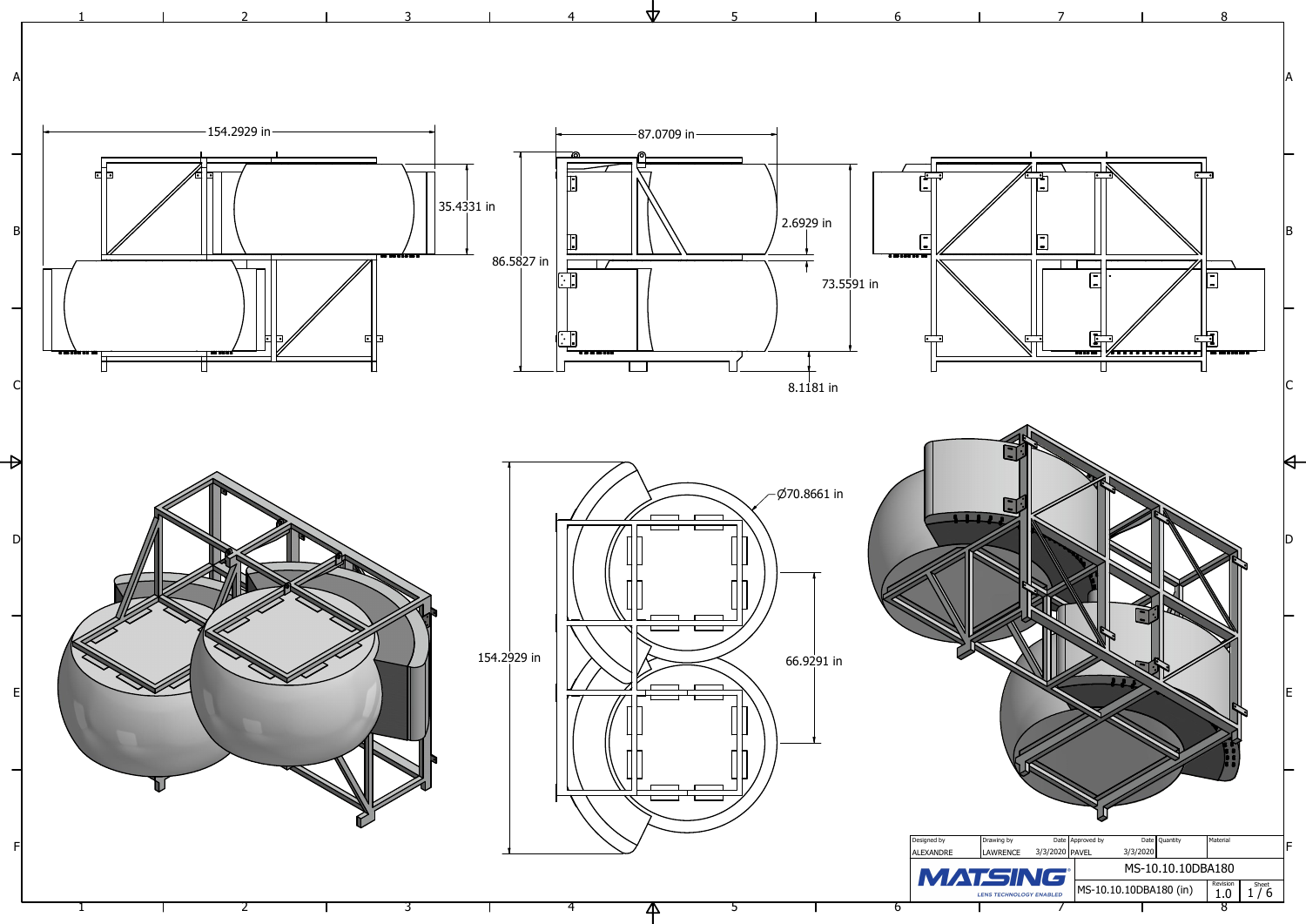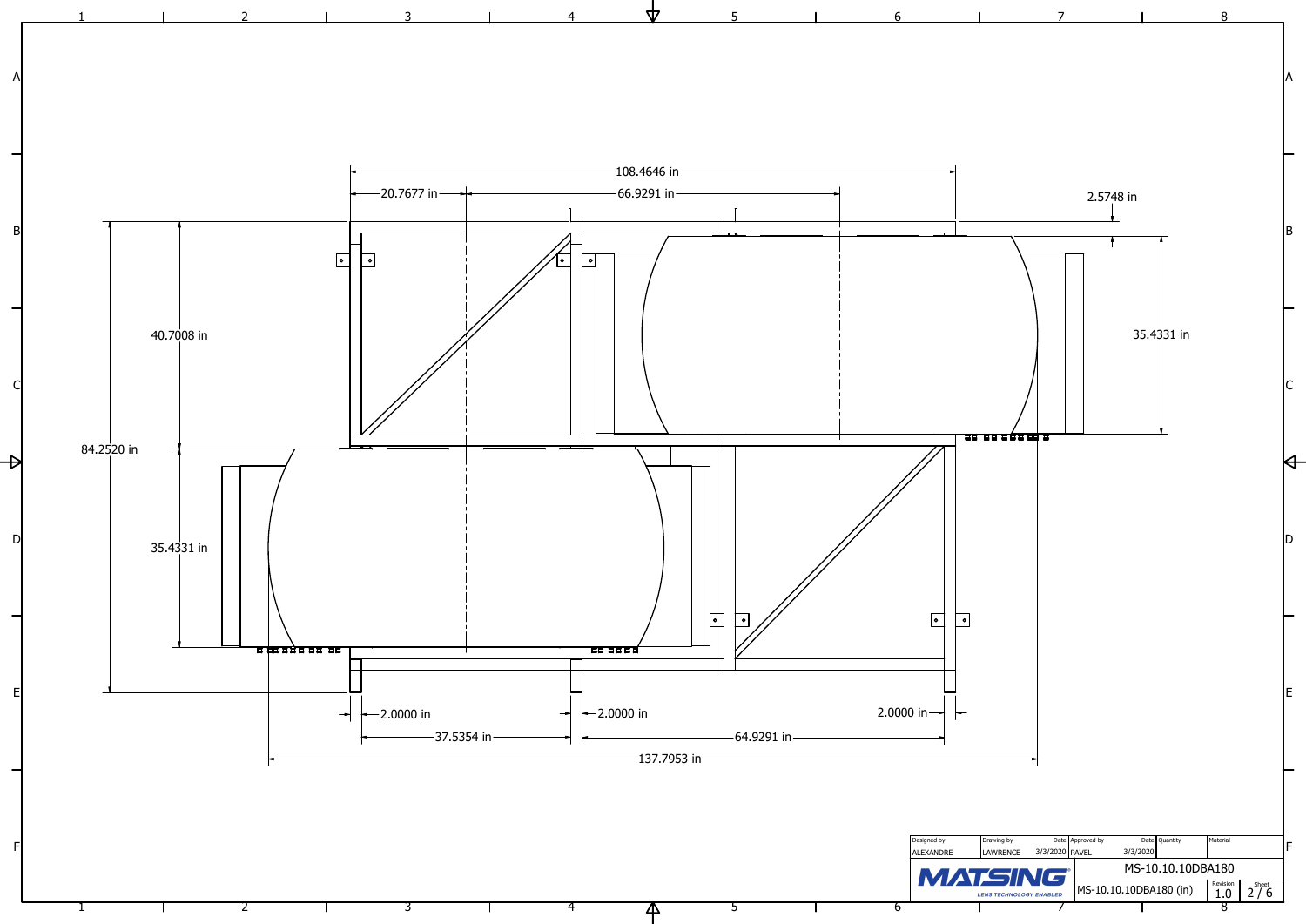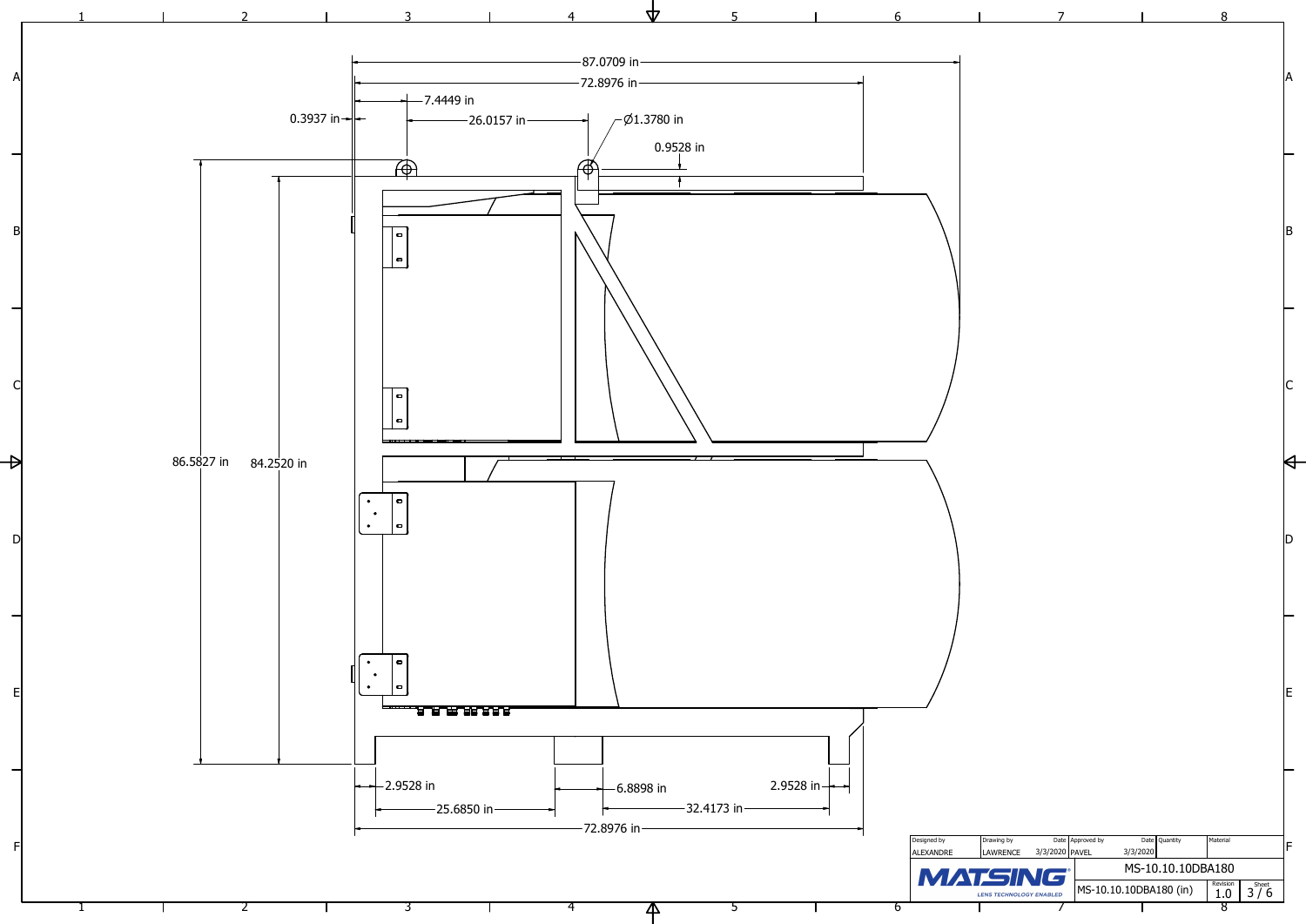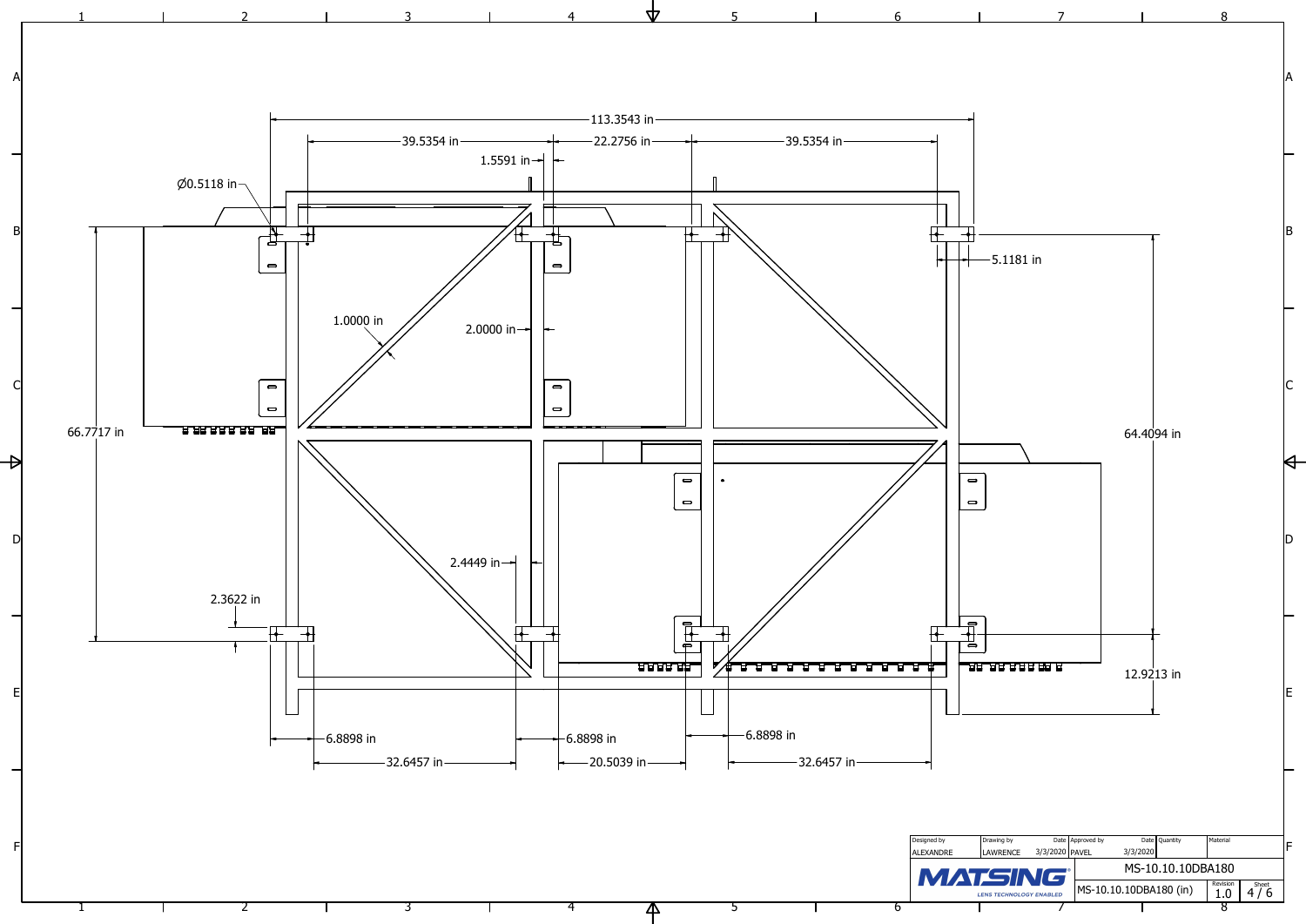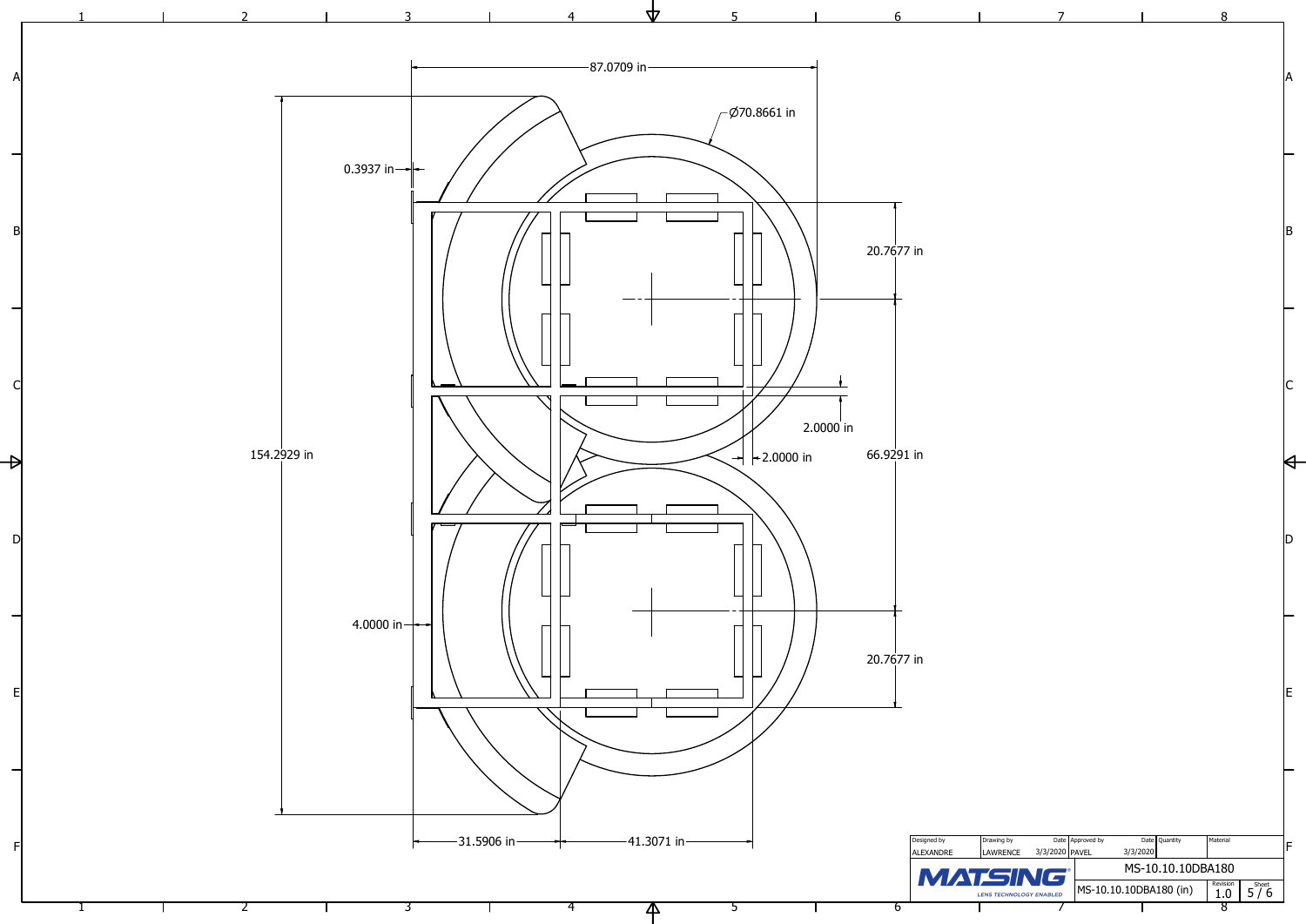